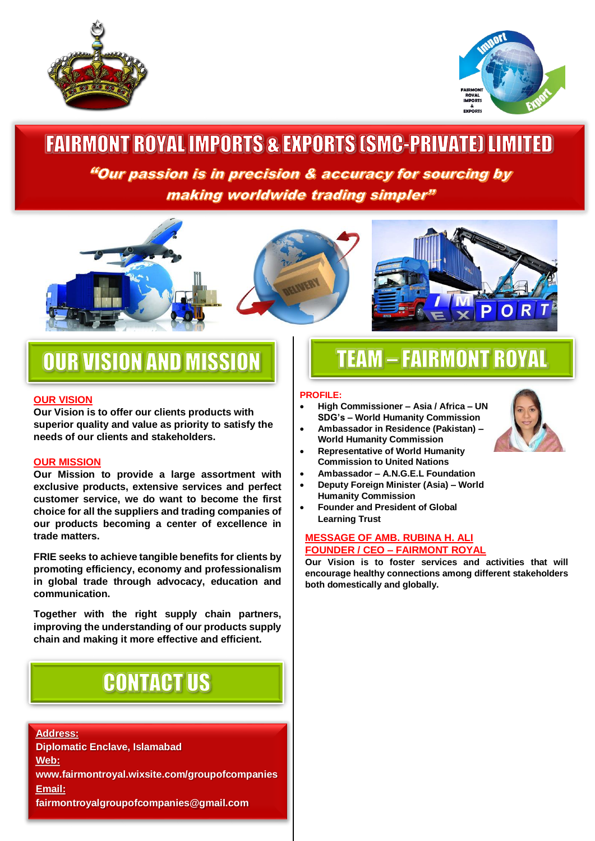



# **FAIRMONT ROYAL IMPORTS & EXPORTS (SMC-PRIVATE) LIMITED**

"Our passion is in precision & accuracy for sourcing by making worldwide trading simpler"







# **OUR VISION AND MISSION**

### **OUR VISION**

**Our Vision is to offer our clients products with superior quality and value as priority to satisfy the needs of our clients and stakeholders.**

### **OUR MISSION**

**Our Mission to provide a large assortment with exclusive products, extensive services and perfect customer service, we do want to become the first choice for all the suppliers and trading companies of our products becoming a center of excellence in trade matters.**

**FRIE seeks to achieve tangible benefits for clients by promoting efficiency, economy and professionalism in global trade through advocacy, education and communication.** 

**Together with the right supply chain partners, improving the understanding of our products supply chain and making it more effective and efficient.**

# **CONTACT US**

#### **Address:**

**Diplomatic Enclave, Islamabad Web: www.fairmontroyal.wixsite.com/groupofcompanies Email: fairmontroyalgroupofcompanies@gmail.com**

# **TEAM - FAIRMONT ROYAL**

#### **PROFILE:**

- **High Commissioner – Asia / Africa – UN SDG's – World Humanity Commission**
- **Ambassador in Residence (Pakistan) – World Humanity Commission**
- **Representative of World Humanity Commission to United Nations**
- **Ambassador – A.N.G.E.L Foundation**
- **Deputy Foreign Minister (Asia) – World Humanity Commission**
- **Founder and President of Global Learning Trust**

#### **MESSAGE OF AMB. RUBINA H. ALI FOUNDER / CEO – FAIRMONT ROYAL**

**Our Vision is to foster services and activities that will encourage healthy connections among different stakeholders both domestically and globally.**